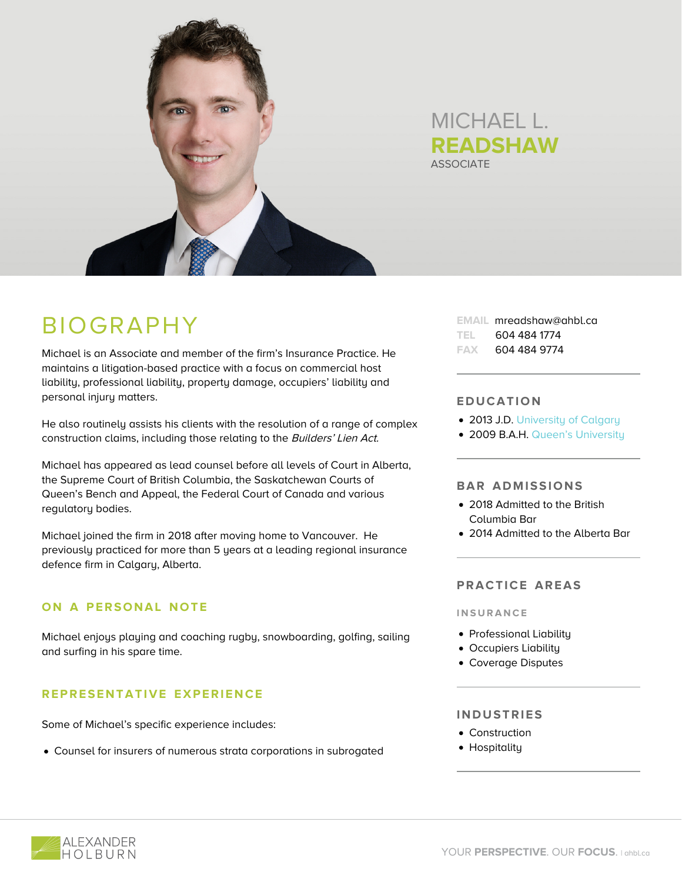

# **ASSOCIATE** MICHAEL L. **READSHAW**

# BIOGRAPHY

Michael is an Associate and member of the firm's Insurance Practice. He maintains a litigation-based practice with a focus on commercial host liability, professional liability, property damage, occupiers' liability and personal injury matters.

He also routinely assists his clients with the resolution of a range of complex construction claims, including those relating to the Builders' Lien Act.

Michael has appeared as lead counsel before all levels of Court in Alberta, the Supreme Court of British Columbia, the Saskatchewan Courts of Queen's Bench and Appeal, the Federal Court of Canada and various regulatory bodies.

Michael joined the firm in 2018 after moving home to Vancouver. He previously practiced for more than 5 years at a leading regional insurance defence firm in Calgary, Alberta.

# **ON A PERSONAL NOTE**

Michael enjoys playing and coaching rugby, snowboarding, golfing, sailing and surfing in his spare time.

## **REPRESENTATIVE EXPERIENCE**

Some of Michael's specific experience includes:

Counsel for insurers of numerous strata corporations in subrogated

**EMAIL** mreadshaw@ahbl.ca **TEL** 604 484 1774 **FAX** 604 484 9774

#### **EDUCATION**

- 2013 J.D. [University of Calgary](https://www.ucalgary.ca/)
- 2009 B.A.H. [Queen's University](https://www.queensu.ca/)

#### **BAR ADMISSIONS**

- 2018 Admitted to the British Columbia Bar
- 2014 Admitted to the Alberta Bar

#### **PRACTICE AREAS**

**INSURANCE**

- Professional Liability
- Occupiers Liability
- Coverage Disputes

#### **INDUSTRIES**

- Construction
- Hospitality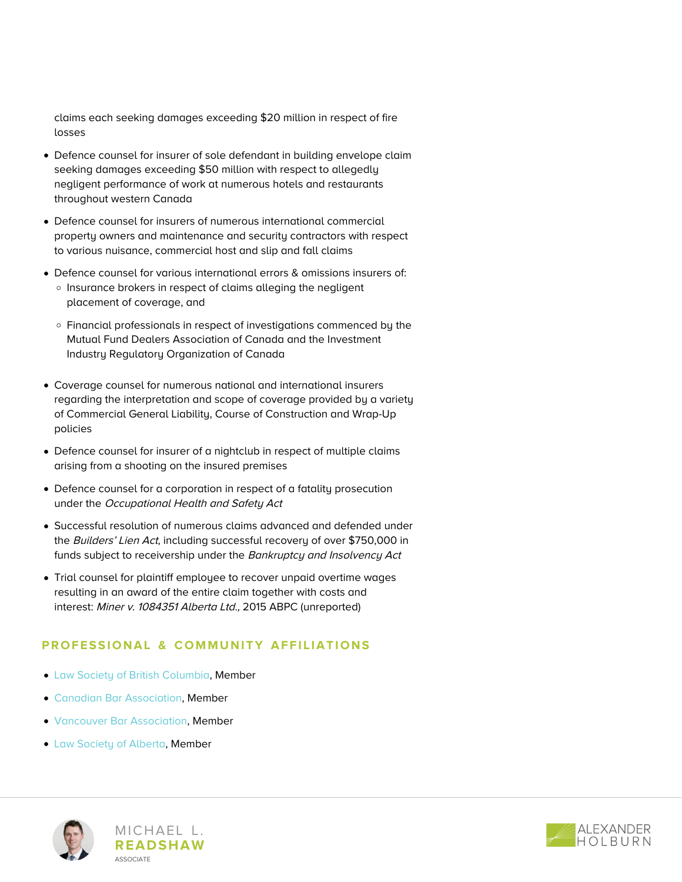claims each seeking damages exceeding \$20 million in respect of fire losses

- Defence counsel for insurer of sole defendant in building envelope claim seeking damages exceeding \$50 million with respect to allegedly negligent performance of work at numerous hotels and restaurants throughout western Canada
- Defence counsel for insurers of numerous international commercial property owners and maintenance and security contractors with respect to various nuisance, commercial host and slip and fall claims
- Defence counsel for various international errors & omissions insurers of: o Insurance brokers in respect of claims alleging the negligent placement of coverage, and
	- Financial professionals in respect of investigations commenced by the Mutual Fund Dealers Association of Canada and the Investment Industry Regulatory Organization of Canada
- Coverage counsel for numerous national and international insurers regarding the interpretation and scope of coverage provided by a variety of Commercial General Liability, Course of Construction and Wrap-Up policies
- Defence counsel for insurer of a nightclub in respect of multiple claims arising from a shooting on the insured premises
- Defence counsel for a corporation in respect of a fatality prosecution under the Occupational Health and Safety Act
- Successful resolution of numerous claims advanced and defended under the Builders' Lien Act, including successful recovery of over \$750,000 in funds subject to receivership under the Bankruptcy and Insolvency Act
- Trial counsel for plaintiff employee to recover unpaid overtime wages resulting in an award of the entire claim together with costs and interest: Miner v. 1084351 Alberta Ltd., 2015 ABPC (unreported)

## **PROFESSIONAL & COMMUNITY AFFILIATIONS**

- [Law Society of British Columbia](https://www.lawsociety.bc.ca/), Member
- [Canadian Bar Association](https://www.cbabc.org/Home), Member
- [Vancouver Bar Association](https://vancouverbar.ca/), Member
- [Law Society of Alberta,](https://www.lawsociety.ab.ca/) Member